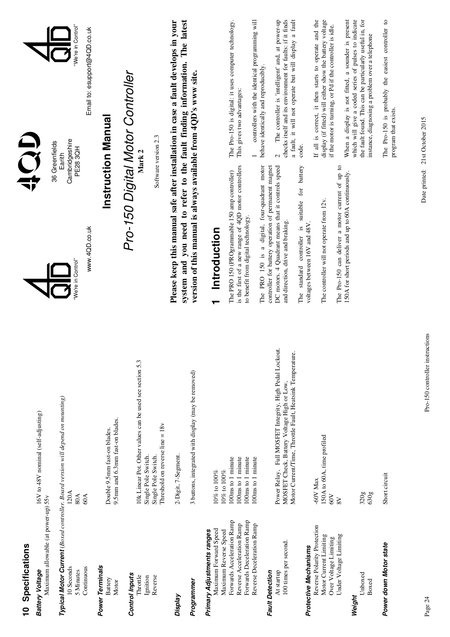| 10 Specifications                                                                                                                           |                                                                                                                                                                    | OCH                                                                                                                                                                                                                                                |                                                                                                                                                                                                                                              |  |
|---------------------------------------------------------------------------------------------------------------------------------------------|--------------------------------------------------------------------------------------------------------------------------------------------------------------------|----------------------------------------------------------------------------------------------------------------------------------------------------------------------------------------------------------------------------------------------------|----------------------------------------------------------------------------------------------------------------------------------------------------------------------------------------------------------------------------------------------|--|
| Maximum allowable (at power-up) 55v<br>Battery Voltage                                                                                      | 16V to 48V nominal (self-adjusting)                                                                                                                                | 36 Greenfields                                                                                                                                                                                                                                     |                                                                                                                                                                                                                                              |  |
| Continuous<br>10 Seconds<br>5 Minutes                                                                                                       | Typical Motor Current (Boxed controller. Board version will depend on mounting)<br>120A<br>80A<br>60A                                                              | Cambridgeshire<br>PE283QH<br>Earith<br>www.4QD.co.uk<br>We're in Control"                                                                                                                                                                          | We're in Control"<br>Email to: esupport@4QD.co.uk                                                                                                                                                                                            |  |
| Power Terminals<br>Battery<br>Motor                                                                                                         | 9.5mm and 6.3mm fast-on blades.<br>Double 9.5mm fast-on blades.                                                                                                    | <b>Instruction Manual</b>                                                                                                                                                                                                                          |                                                                                                                                                                                                                                              |  |
| <b>Control Inputs</b><br>Throttle<br>Ignition<br>Reverse                                                                                    | 10k Linear Pot. Other values can be used see section 5.3<br>Threshold on reverse line = 18v<br>Single Pole Switch.<br>Single Pole Switch.                          | Pro-150 Digital Motor Controller<br>Software version 2.3                                                                                                                                                                                           |                                                                                                                                                                                                                                              |  |
| Programmer<br>Display                                                                                                                       | 3 buttons, integrated with display (may be removed)<br>2-Digit, 7-Segment                                                                                          | Please keep this manual safe after installation in case a fault develops in your<br>system and you need to refer to the fault finding information. The latest<br>version of this manual is always available from 4QD's www site.                   |                                                                                                                                                                                                                                              |  |
| Maximum Forward Speed<br>Primary Adjustments ranges                                                                                         | $10\%$ to $100\%$                                                                                                                                                  | Introduction<br>┯                                                                                                                                                                                                                                  |                                                                                                                                                                                                                                              |  |
| Forwards Deceleration Ramp<br>Forwards Acceleration Ramp<br>Reverse Acceleration Ramp<br>Reverse Deceleration Ramp<br>Maximum Reverse Speed | 100ms to 1 minute<br>100ms to 1 minute<br>100ms to 1 minute<br>100ms to 1 minute<br>$10\%$ to $100\%$                                                              | is the first of a new range of 4QD motor controllers<br>The PRO 150 (PROgrammable 150 amp controller)<br>to benefit from digital technology.                                                                                                       | controllers with the identical programming will<br>The Pro-150 is digital: it uses computer technology.<br>This gives two advantages:                                                                                                        |  |
| 100 times per second.<br>At startup<br><b>Fault Detection</b>                                                                               | Power Relay, Full MOSFET Integrity, High Pedal Lockout.<br>Motor Current/Time, Throttle Fault, Heatsink Temperature.<br>MOSFET Check, Battery Voltage High or Low, | The PRO 150 is a digital, four-quadrant motor<br>DC motors. 4 Quadrant means that it controls speed<br>controller for battery operation of permanent magnet<br>The standard controller is suitable for battery<br>and direction, drive and braking | The controller is 'intelligent' and, at power-up<br>checks itself and its environment for faults: if it finds<br>a fault, it will not operate but will display a fault<br>behave identically and reproducibly.<br>code.<br>$\mathbf{\Omega}$ |  |
| Reverse Polarity Protection<br>Under Voltage Limiting<br>Motor Current Limiting<br>Over Voltage Limiting<br>Protective Mechanisms           | 150A to 60A, time profiled<br>-60V Max<br>$80$<br>8V                                                                                                               | The Pro-150 can deliver a motor current of up to<br>The controller will not operate from 12v.<br>voltages between 16V and 48V                                                                                                                      | If all is correct, it then starts to operate and the<br>display (if fitted) will either show the battery voltage<br>if the motor is turning, or Pd if the controller is idle.                                                                |  |
| Unboxed<br>Boxed<br>Weight                                                                                                                  | 320g<br>630g                                                                                                                                                       | 150A for short periods and up to 60A continuously.                                                                                                                                                                                                 | When a display is not fitted, a sounder is present<br>which will give a coded series of pulses to indicate<br>the fault found. This can be particularly useful in, for<br>instance, diagnosing a problem over a telephone                    |  |
| Power down Motor state                                                                                                                      | Short circuit                                                                                                                                                      |                                                                                                                                                                                                                                                    | The Pro-150 is probably the easiest controller to<br>program that exists.                                                                                                                                                                    |  |

Pro-150 controller instructions Page 24 Pro-150 controller instructions

Date printed: 21st October 2015

Date printed: 21st October 2015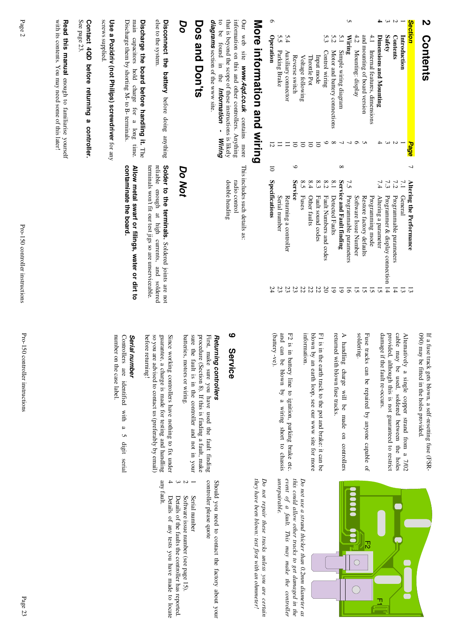### **2 Contents** Contents

| <b>Section</b>                    | Page |   |              | Altering the Performance           |    |
|-----------------------------------|------|---|--------------|------------------------------------|----|
| Introduction                      |      |   | $\mathbf{r}$ | General                            |    |
| <b>Contents</b>                   |      |   | 7.2          | Programmable parameters            |    |
| Safety                            |      |   | 7.3          | Programmer & display connection 14 |    |
| Dimensions and Mounting           |      |   |              | Altering a parameter               |    |
| 4.1 Internal features, dimensions |      |   |              | Programming mode                   |    |
| and mounting of board version     |      |   |              | Restore factory defaults           |    |
| 4.2 Mounting: display             |      |   |              | Software Issue Number              |    |
| Wiring                            |      |   |              | 7.5 Programmable parameters        |    |
| Simple wiring diagram             |      |   |              | Service and Fault finding          |    |
| Motor and battery connections     |      |   | $^{8.1}$     | Detected Faults                    |    |
| 5.3<br>Control wiring             |      |   | 8.2          | Fault Numbers and codes            |    |
| Input mode                        |      |   | 8.3          | Fault sound codes                  | Š  |
| <b>Throttle Pot</b>               |      |   | 8.4          | Other faults                       | 21 |
| Voltage following                 |      |   |              | 8.5 Fuses                          | 21 |
| Reverse switch                    |      |   | Service      |                                    |    |
| Auxiliary connector               |      |   |              | Returning a controller             |    |
| ς,<br>Parking Brake               |      |   |              | Serial number                      |    |
| <b>Operation</b>                  |      | ਰ |              | Specifications                     |    |
| <br> <br> -<br> -                 |      |   |              |                                    |    |
|                                   |      |   |              |                                    |    |

# More intormation and wiring **More information and wiring**

to be found in the Information - Wiring diagrams section of the www site. that is beyond the scope of these instructions is likely information on this and other controllers. Anything Our web site **www.4qd.co.uk** contains more to be found in the that is beyond the scope of these instructions is l information on this and other controllers. Anything Our web site *diagrams* section of the www site. *www.4qd.co.uk Information - Wiring* contains more This includes such details as: This includes such details as:

double heading radio control

double heading radio control

# **Dos and Don'ts Dos and Don'ts**

### *Do*

else to the system. Disconnect the battery before doing anything Solder to the terminals. Soldered joints are not else to the system. **Disconnect the battery** before doing anything

Discharge them by shorting M- to B- terminals main capacitors hold charge for a long time. Discharge the board before handling it. The Discharge them by shorting M- to B- terminals. main capacitors hold charge for a long time. **Discharge the board before handling it.**

**Use a Pozidriv (not Philips) screwdriver** Use a Pozidriv (not Philips) screwdriver for any

# See page 23 Contact 4QD before returning a controller. **Contact 4QD before returning a controller.**

Read this manual enough to familiarise yourself **Read this manual** enough to familiarise yourself

*Do Not*

terminals won't fit our test jigs so are unserviceable. reliable enough at high currents, and soldered terminals won't fit our test jigs so are unservicea reliable enough at high currents, and soldered **Solder to the terminals.** Soldered joints are not

Allow metal swarf or filings, water or dirt to contaminate the board. **contaminate the board. Allow metal swarf or filings, water or dirt to**

screws supplied screws supplied.

See page 23.

with its contents. You may need some of this later! with its contents. You may need some of this later!

> If a fuse track gets blown, a self-resetting fuse (FSR-If a fuse track gets blown, a self-resetting fuse (FSR-

090) may be fitted in the holes provided.<br>Alternatively a single copper strand from a 7/02 cable may be used, soldered between the holes<br>provided, although this is not guaranteed to restrict<br>provided, although this is not damage if the fault re-occurs. damage if the fault re-occurs.

Fuse tracks can be repaired by anyone capable of<br>soldering. Fuse tracks can be repaired by anyone capable of

returned with blown fuse tracks A handling charge will be made on controllers returned with blown fuse tracks. A handling charge will be made on controllers

information. blown by an earth loop, see our www site for more F1 is in the earth track to the pot and brake: it can be information. blown by an earth loop, see our www site for more F1 is in the earth track to the pot and brake: it c

(battery -ve). and can be blown by a wiring short to chassis F2 is in battery line to ignition, parking brake etc. (battery -ve). and can be blown by a wiring short to chassis F2 is in battery line to ignition, parking brake et



unrepairable. event of a fault. This may make the controller this could allow other tracks to get damaged in the *Do not use a strand thicker than 0.2mm diameter as unrepairable. event of a fault. This may make the controller this could allow other tracks to get damaged in the* Do not use a strand thicker than 0.2mm diameter as

they have been blown: test first with an ohmmeter! Do not repair these tracks unless you are certain *Do not repair these tracks unless you are certain they have been blown: test first with an ohmmeter!*

### **9 Service** Service

## Returning controllers *Returning controllers*

batteries, motors or wiring. sure the fault is in the controller and not in your procedure (Section 8). If this is finding a fault, make First, make sure you have used the fault finding batteries, motors or wiring. sure the fault is in the controller and not in your procedure (Section 8). If this is finding a fault, First, make sure you have used the fault finding

so you are advised to contact us (preferably by email) guarantee, a charge is made for testing and handling Since working controllers have nothing to fix under before returning! before returning! so you are advised to contact us (preferably by email) guarantee, a charge is made for testing and handlin Since working controllers have nothing to fix under

### Serial number *Serial number*

number on the case label Controllers are identified with a 5 digit serial number on the case label. Controllers are identified with a 5 digit serial

> controller please quote Should you need to contact the factory about your controller please quote Should you need to contact the factory about your

 Serial number Serial number

–

 Software issue number (see page 15). Software issue number (see page 15).

 Details of the faults the controller has reported. Details of the faults the controller has reported.

4 Details of any tests you have made to locate any fault. Details of any tests you have made to locate

4

 $\bm{\omega}$ 

 $\mathcal{C}$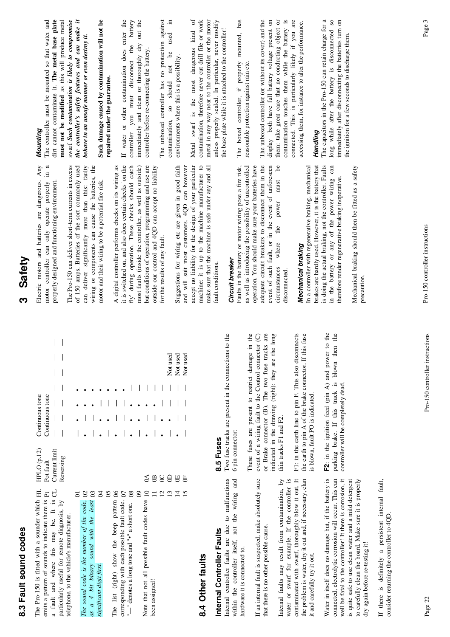| c<br>ı       |  |
|--------------|--|
|              |  |
| ť<br>ţ       |  |
|              |  |
|              |  |
|              |  |
|              |  |
| $\mathbf{r}$ |  |
|              |  |

|                                                                               | Continuous tone                                             | $\overline{\mathbf{a}}$                               | Reversing                                    |                                           | $\begin{array}{c} \bullet \\ \bullet \\ \bullet \end{array}$ |
|-------------------------------------------------------------------------------|-------------------------------------------------------------|-------------------------------------------------------|----------------------------------------------|-------------------------------------------|--------------------------------------------------------------|
| The Pro-150 is fitted with a sounder which $HL$ $HPLO(p, 12)$ Continuous tone | emits a pattern of sounds to indicate there is Pt Pot fault | a fault and where this may be. It is CL Current limit | particularly useful for remote diagnosis, by | telephone, to the vehicle's manufacturer. |                                                              |

|                                              |                                           |                          |   |                                           |                                                 |                                                        |   | S                                              | $\circledcirc$ | 8 | G  |
|----------------------------------------------|-------------------------------------------|--------------------------|---|-------------------------------------------|-------------------------------------------------|--------------------------------------------------------|---|------------------------------------------------|----------------|---|----|
|                                              |                                           | 혼                        | 8 |                                           |                                                 | $^{\circ}$                                             | g |                                                |                |   | Iq |
| The sound code is the number of the code, 02 | as a 4 bit binary sound with the least 03 |                          |   | The list (right) show the beep pattern 06 | corresponding with each possible fault code. 07 | "—" denotes a long tone and " $\bullet$ " a short one. |   | Note that not all possible fault codes have 10 |                |   |    |
|                                              |                                           |                          |   |                                           |                                                 |                                                        |   |                                                |                |   |    |
|                                              |                                           |                          |   |                                           |                                                 |                                                        |   |                                                |                |   |    |
|                                              |                                           |                          |   |                                           |                                                 |                                                        |   |                                                |                |   |    |
|                                              |                                           |                          |   |                                           |                                                 |                                                        |   |                                                |                |   |    |
|                                              |                                           |                          |   |                                           |                                                 |                                                        |   |                                                |                |   |    |
|                                              |                                           |                          |   |                                           |                                                 |                                                        |   |                                                |                |   |    |
|                                              |                                           | significant digit first. |   |                                           |                                                 |                                                        |   |                                                | been assigned! |   |    |
|                                              |                                           |                          |   |                                           |                                                 |                                                        |   |                                                |                |   |    |

## 8.4 Other faults **8.4 Other faults**

# Internal Controller Faults **Internal Controller Faults**

Internal controller faults are due to malfunctions within the controller itself, not the wiring and Internal controller faults are due to malfunctions within the controller itself, not the wiring and hardware it is connected to. hardware it is connected to.

If an internal fault is suspected, make absolutely sure If an internal fault is suspected, make absolutely sure that there is no other possible cause. that there is no other possible cause.

contaminated with swarf, thoroughly blow it out. It the problem is water, dry it out and, if necessary, clan Internal faults may result from contamination, by Internal faults may result from contamination, by water or swarf for example. If the controller is contaminated with swarf, thoroughly blow it out. It the problem is water, dry it out and, if necessary, clan water or swarf for example. If the controller it and carefully try it out. it and carefully try it out.

s.

Water in itself does no damage but, if the battery is connected, electrolytic corrosion will occur. This can well be fatal to the controller! It there is corrosion, it is quite safe to use clean water and a mild detergent to carefully clean the board. Make sure it is properly Water in itself does no damage but, if the battery is connected, electrolytic corrosion will occur. This can well be fatal to the controller! It there is corrosion, it is quite safe to use clean water and a mild detergent to carefully clean the board. Make sure it is properly dry again before re-testing it! dry again before re-testing it!

If there is definitely a persistent internal fault, If there is definitely a persistent internal fault, consider returning the controller to 4QD. consider returning the controller to 4QD.

13 0D — • — — Not used Pass 10N | | ・ ●<br>HO tr 15 0F — — — — Not used

 $B B E$ 

 $\frac{m}{4}$ 

Not used Not used

Not used

**8.5 Fuses**<br>Two fuse tracks are present in the connections to the Two fuse tracks are present in the connections to the 6 pin connector: 6 pin connector:

or Brake connector (B). The two fuse tracks are These fuses are present to restrict damage in the event of a wiring fault to the Control connector (C) indicated in the drawing (right): they are the long These fuses are present to restrict damage in the event of a wiring fault to the Control connector (C) or Brake connector (B). The two fuse tracks are indicated in the drawing (right): they are the long thin tracks F1 and F2. thin tracks F1 and F2. F1: in the earth line to pin F. This also disconnects the earth to pin A of the brake connector. If this fuse F1: in the earth line to pin F. This also disconnects the earth to pin A of the brake connector. If this fuse is blown, fault PO is indicated. is blown, fault PO is indicated. F2: in the ignition feed (pin A) and power to the parking brake. If this track is blown then the **F2**: in the ignition feed (pin A) and power to the parking brake. If this track is blown then the controller will be completely dead. controller will be completely dead.

# **3 Safety**

 $\ln a$ Electric motors and batteries are dangerous. Any Electric motors and batteries are dangerous. Any motor controller can only operate properly in a motor controller can only operate properly properly designed and functioning environment. properly designed and functioning environment.

 $\vert \ \ \vert$ 

The Pro-150 can deliver short-term currents in excess<br>of 150 amps. Batteries of the sort commonly used can deliver significantly more than this: faulty wiring or components can cause the batteries, the of 150 amps. Batteries of the sort commonly used can deliver significantly more than this: faulty wiring or components can cause the batteries, the The Pro-150 can deliver short-term currents in exce motor and their wiring to be a potential fire risk. motor and their wiring to be a potential fire risk.

it is switched on, and also does certain checks 'on the fly' during operation. These checks should catch but conditions of operation, programming and use are A digital controller performs checks on its wiring as most faults (inside the controller, as well as outside) A digital controller performs checks on its wiring as it is switched on, and also does certain checks 'on the fly' during operation. These checks should catch most faults (inside the controller, as well as outside) but conditions of operation, programming and use are outside our control and 4QD can accept no liability outside our control and 4QD can accept no liability for the results of any fault. for the results of any fault.

Suggestions for wiring etc are given in good faith accept no liability for the design of your particular machine: it is up to the machine manufacturer to make sure that the machine is safe under any and all Suggestions for wiring etc are given in good faith and will suit most customers. 4QD can however and will suit most customers. 4QD can however accept no liability for the design of your particular machine: it is up to the machine manufacturer to make sure that the machine is safe under any and all fault conditions. fault conditions.

### Circuit breaker *Circuit breaker*

adequate circuit breakers to disconnect them in the event of such fault, or in the event of unforeseen  $be$ Faults in the battery or motor wiring pose a fire risk, as well as introducing the possibility of uncontrolled operation. You should make sure your batteries have Faults in the battery or motor wiring pose a fire risk, as well as introducing the possibility of uncontrolled operation. You should make sure your batteries have adequate circuit breakers to disconnect them in the event of such fault, or in the event of unforeseen circumstances where the power must be must power circumstances where the disconnected. disconnected.

## Mechanical braking *Mechanical braking*

is doing the actual braking, not the controller. Faults in the battery or any of the power wiring can brakes are hardly used. However, it is the battery that In a controller with regenerative braking, mechanical In a controller with regenerative braking, mechanical brakes are hardly used. However, it is the battery that is doing the actual braking, not the controller. Faults in the battery or any of the power wiring can herefore render regenerative braking inoperative. therefore render regenerative braking inoperative. Mechanical braking should then be fitted as a safety Mechanical braking should then be fitted as a safety precaution.

dirt cannot contaminate it. The metal base plate the controller's safety features and can make it *Mounting*<br>The controller must be mounted so that water and must not be modified as this will produce metal swarf Such contamination is likely to compromise The controller must be mounted so that water and dirt cannot contaminate it. **The metal base plate must not be modified** as this will produce metal swarf *Such contamination is likely to compromise the controller's safety features and can make it* behave in an unsafe manner or even destroy it. *behave in an unsafe manner or even destroy it.*

## Such damage caused by contamination will not be **Such damage caused by contamination will not be** repaired under the guarantee. **repaired under the guarantee.**

battery immediately and clean or thoroughly dry out the If water or other contamination does enter the If water or other contamination does enter the controller you must disconnect the battery immediately and clean or thoroughly dry out the you must disconnect the controller before re-connecting the battery. controller before re-connecting the battery. controller

The unboxed controller has no protection against not be used in The unboxed controller has no protection against contamination, so should not be used in environments where this is a possibility. environments where this is a possibility. contamination, so should

metal in any way near to the controller or the motor unless properly sealed. In particular, never modify ð contamination, therefore never cut drill file or work Metal swarf is the most dangerous kind of contamination, therefore never cut drill file or work metal in any way near to the controller or the motor unless properly sealed. In particular, never modify Metal swarf is the most dangerous kind the base plate while it is attached to the controller! the base plate while it is attached to the controller! The boxed controller, if properly mounted, has The boxed controller, if properly mounted, has reasonable protection against rain etc. reasonable protection against rain etc.

display both have full battery voltage present on them: take great care that no conducting object or  $\mathbf{a}$ . connected. This is particularly likely if you are The unboxed controller (or without its cover) and the accessing them, for instance to alter the performance. The unboxed controller (or without its cover) and the display both have full battery voltage present on them: take great care that no conducting object or contamination touches them while the battery is connected. This is particularly likely if you are accessing them, for instance to alter the performance. contamination touches them while the battery

*Handling*<br>The capacitors in the Pro-150 can retain charge for a long while after the battery is disconnected so<br>immediately after disconnecting the batteries turn on The capacitors in the Pro-150 can retain charge for a long while after the battery is disconnected so immediately after disconnecting the batteries turn on the ignition for a few seconds to discharge them. the ignition for a few seconds to discharge them.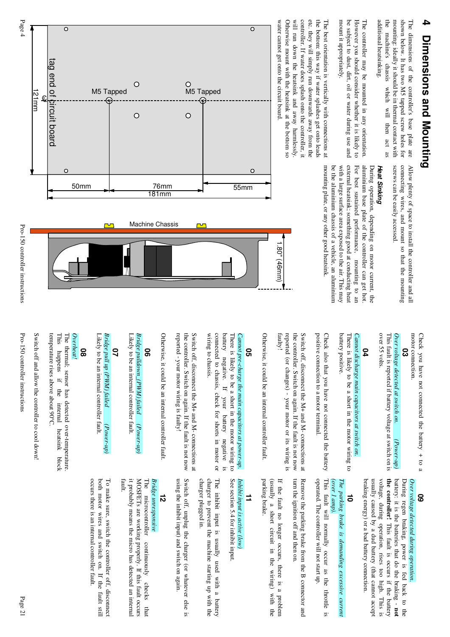# **4 Dimensions and Mounting** Dimensions and Mounting

mounting: ideally it should be in thermal contact with shown below. It has two M5 tapped screw holes for additional heatsinking. the machine's chassis which will then act as additional heatsinking. the machine's chassis which will then act as mounting: ideally it should be in thermal contact w shown below. It has two M5 tapped screw holes for The dimensions of the controller's base plate are

mount it appropriately. be subject to dust, dirt, oil or water during use and However you should consider whether it is likely to The controller may be mounted in any orientation. mount it appropriately. be subject to dust, dirt, oil or water during use a However you should consider whether it is likely to The controller may be mounted in any orientation.

controller. If water does splash onto the controller, it the bottom: this way if water splashes get onto leads Otherwise mount with the heatsink at the bottom so will run down the heatsink and away harmlessly etc. they will simply run downwards away from the The best orientation is vertically with connections at water cannot get onto the circuit board. water cannot get onto the circuit board. Otherwise mount with the heatsink at the bottom so will run down the heatsink and away harmlessly. controller. If water does splash onto the controlle etc. they will simply run downwards away from the the bottom: this way if water splashes get onto leads The best orientation is vertically with connections

The dimensions of the controller's base plate are Allow plenty of space to install the controller and all screws can be easily accessed connecting wires, and mount so that the mounting screws can be easily accessed. connecting wires, and mount so that the mounting Allow plenty of space to install the controller and all

### Heat Sinking *Heat Sinking*

external heatsink; something good at conducting hear mounting plate, or any other good heatsink. aluminium base plate of the controller can get hot with a large surface area exposed to the air. This may For best sustained performance, mounting to an mounting plate, or any other good heatsink. be the aluminium chassis of a vehicle, an aluminium be the aluminium chassis of a vehicle, an aluminium with a large surface area exposed to the air. This may external heatsink; something good at conducting hea For best sustained performance, mounting to an aluminium base plate of the controller can get hot. During operation, depending on motor current, the During operation, depending on motor current, the



motor connection. Check you have not connected the battery  $+$  to a motor connection. Check you have not connected the battery + to a

# **03**

over 55 volts Over voltage detected at switch on. This fault is reported if battery voltage at switch on is over 55 volts. This fault is reported if battery voltage at switch *Over voltage detected at switch on. (Power-up)*  $(Power-up)$ 

### **04**

battery positive. There is likely to be a short in the motor wiring to Cannot discharge main capacitors at switch on battery positive. There is likely to be a short in the motor wiring t *Cannot discharge main capacitors at switch on.*

positive connection to a motor terminal. positive connection to a motor terminal. Check also that you have not connected the battery Check also that you have not connected the battery

reported (or changes) - your motor or its wiring is<br>faulty! Switch off, disconnect the M+ and M- connections at the controller. Switch on again. If the fault is not now reported (or changes) - your motor or its wiring is the controller. Switch on again. If the fault is no Switch off, disconnect the M+ and M- connections at

1.80" (46mm)

1.80" (46mm)

Otherwise, it could be an internal controller fault Otherwise, it could be an internal controller fault.

### **05**

wiring to chassis. battery negative. If your battery negative is There is likely to be a short in the motor wiring to connected to chassis, check for shorts in motor or wiring to chassis. connected to chassis, check for shorts in motor or battery negative. If your battery negative is There is likely to be a short in the motor wiring t Cannot pre-charge the main capacitors at power-up. *Cannot pre-charge the main capacitors at power-up.*

reported - your motor wiring is faulty! the controller. Switch on again. If the fault is not now Switch off, disconnect the M+ and M- connections at reported - your motor wiring is faulty! the controller. Switch on again. If the fault is no Switch off, disconnect the  $N+$  and  $N-$  connections at

Otherwise, it could be an internal controller fault Otherwise, it could be an internal controller fault.

### **06**

Bridge pulldown\_(PWM) failed (Power-up) *Bridge pulldown\_(PWM) failed*Likely to be an internal controller fault. Likely to be an internal controller fault.  *(Power-up)*

### **07**

Bridge pull up (PWM) failed Likely to be an internal controller fault *Bridge pull up (PWM) failed*Likely to be an internal controller fault.  *(Power-up)*  $(Power-up)$ 

### **08**

Overheat! *Overheat!*

temperature rises above about 90°C. This happens if the internal The thermal; sensor has detected over-temperature. temperature rises above about 90°C. This happens if the internal heatsink block The thermal; sensor has detected over-temperature. heatsink block

Switch off and allow the controller to cool down! Switch off and allow the controller to cool down!

Pro-150 controller instructions

Pro-150 controller instructions

Page 4

### **09**

the controller! This fault is occurs if the battery usually caused by a dud battery (that cannot accept battery: it is the batteries that do the braking - not Over voltage detected during operation braking energy) or a bad battery connection. voltage, during operation, rises too high. This is During regen braking, power is fed back to the braking energy) or a bad battery connection. usually caused by a dud battery (that cannot accept voltage, during operation, rises too high. This is **the controller!**battery: it is the batteries that do the braking - During regen braking, power is fed back to the *Over voltage detected during operation.* This fault is occurs if the battery

## **10**

## (over 1 amp) The parking brake is demanding excessive current *(over 1 amp). The parking brake is demanding excessive current*

This fault will normally occur as the throttle is operated. The controller will not start up. operated. The controller will not start up. This fault will normally occur as the throttle is

turn the ignition off and then on. Remove the parking brake from the B connector and turn the ignition off and then on. Remove the parking brake from the B connector and

parking brake. If the fault no longer occurs, there is a problem (usually a short circuit in the wiring) with the parking brake. (usually a short circuit in the wiring) with the If the fault no longer occurs, there is a problem

### **11**

### See section 5.4 for inhibit input *Inhibit input is active (low)* See section 5.4 for inhibit input. Inhibit input is active (low

The inhibit input is usually used with a battery charger plugged in. charger to prevent the machine starting up with the charger plugged in. charger to prevent the machine starting up with the The inhibit input is usually used with a battery

Switch off, unplug the charger (or whatever else is using the inhibit input) and switch on again. using the inhibit input) and switch on again. Switch off, unplug the charger (or whatever else is

## **12**

### Bridge unresponsive *Bridge unresponsive*

fault.it probably means the micro has detected an internal MOSFETs are working properly. If this fault occurs The microcontroller continuously checks that it probably means the micro has detected an interna MOSFETs are working properly. If this fault occurs The microcontroller continuously checks that

both motor wires and switch on. If the fault still To make sure, switch the controller off, disconnect both motor wires and switch on. If the fault still To make sure, switch the controller off, disconnect

occurs there is an internal controller tault. occurs there is an internal controller fault.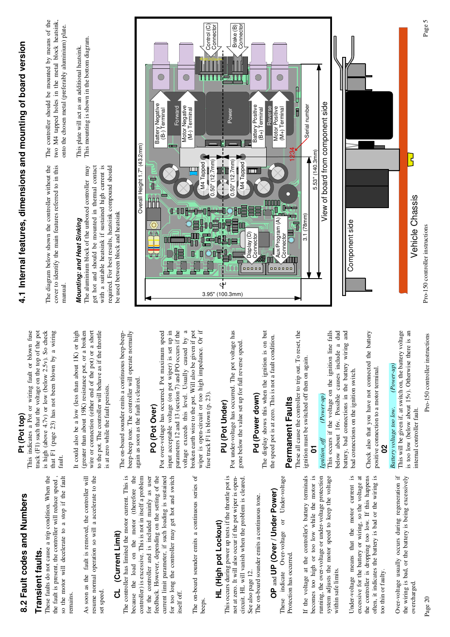# 8.2 Fault codes and Numbers **8.2 Fault codes and Numbers**

## Transient faults. **Transient faults.**

These faults do not cause a trip condition. When the so the motor will decelerate to a stop if the fault the fault is present, the controller will reduce speed, so the motor will decelerate to a stop if the fault These faults do not cause a trip condition. When the the fault is present, the controller will reduce speed , remains.

As soon as the fault is removed, the controller will resume normal operation so will a accelerate to the As soon as the fault is removed, the controller will resume normal operation so will a accelerate to the set speed.

### (Current Limit) **CL (Current Limit)** ಕ

The controller has limited the motor current. This is controller) is excessive. This is not in itself a problem because the load on the motor (therefore the current limit parameter, if such loading is sustained for too long the controller may get hot and switch controller) is excessive. This is not in itself a problem for the controller and is included mainly as user for the controller and is included mainly as user feedback. However, depending on the setting of the current limit parameter, if such loading is sustained for too long the controller may get hot and switch The controller has limited the motor current. This is because the load on the motor (therefore the feedback. However, depending on the setting of the itself off. The on-board sounder emits a continuous series of The on-board sounder emits a continuous series of beeps.

# HL (High pot Lockout) **HL (High pot Lockout)**

This occurs during power up tests if the throttle pot is not at zero. It will also occur if the pot wiper is opencircuit. HL will vanish when the problem is cleared. This occurs during power up tests if the throttle pot is not at zero. It will also occur if the pot wiper is opencircuit. HL will vanish when the problem is cleared. See also page 12. See also page 12.

The on-board sounder emits a continuous tone. The on-board sounder emits a continuous tone.

# OP and UP (Over / Under Power) **OP** and **UP (Over / Under Power)**

indicate Over-voltage or Under-voltage These indicate Over-voltage or Under-voltage Protection has occurred. Protection has occurred. These

the voltage at the controller's battery terminals becomes too high or too low while the motor is running, the over-voltage or under-voltage protection system adjusts the motor speed to keep the voltage running, the over-voltage or under-voltage protection If the voltage at the controller's battery terminals becomes too high or too low while the motor is system adjusts the motor speed to keep the voltage within safe limits. within safe limits.  $\pm$ 

 $\frac{1}{2}$ excessive for the battery or wiring, so the voltage at the controller is dropping too low. If this happens often, it indicates the battery is bad or the wiring is excessive for the battery or wiring, so the voltage at Under-voltage means that the motor current is the controller is dropping too low. If this happens often, it indicates the battery is bad or the wiring is Under-voltage means that the motor current too thin or faulty. too thin or faulty. Over-voltage usually occurs during regeneration if the wiring is bad, or the battery is being excessively Over-voltage usually occurs during regeneration if the wiring is bad, or the battery is being excessively overcharged. overcharged.

is high (above 4.7v) or low (below 2.5v). So check that F1 (page 23) has not been blown by a wiring **Pt (Pot top)**<br>This indicates a Pot or wiring fault or blown fuse track (F1) such that the voltage on the top of the pot This indicates a Pot or wiring fault or blown fuse track (F1) such that the voltage on the top of the pot is high (above 4.7v) or low (below 2.5v). So check that F1 (page 23) has not been blown by a wiring fault.

(greater than about 19K) resistance pot, or a broken It could also be a low (less than about 1K) or high wire or connection (either end of the pot) or a short to the pot. The controller will behave as if the throttle It could also be a low (less than about 1K) or high (greater than about 19K) resistance pot, or a broken wire or connection (either end of the pot) or a short to the pot. The controller will behave as if the throttle is at zero while the fault persists. is at zero while the fault persists.

beep-beep tone. The controller will operate normally The on-board sounder emits a continuous beep-beep-The on-board sounder emits a continuous beep-beepbeep-beep tone. The controller will operate normally again as soon as the fault is cleared. again as soon as the fault is cleared.

### PO (Pot Over) **PO (Pot Over)**

input acceptable voltage (on pot wiper) is set up in by a parameters 12 and 13 (section 7) and PO occurs if the broken earth wire to the pot. Will also be given if pot wiper is open-circuit or too high impedance. Or if Pot over-voltage has occurred. Pot maximum speed wiper is open-circuit or too high impedance. Or if Pot over-voltage has occurred. Pot maximum speed input acceptable voltage (on pot wiper) is set up in parameters 12 and 13 (section 7) and PO occurs if the voltage exceeds this level. Usually caused by a broken earth wire to the pot. Will also be given if pot voltage exceeds this level. Usually caused fuse track F1 is blown (p. 23). fuse track F1 is blown (p. 23).

## PU (Pot Under) **PU (Pot Under)**

Pot under-voltage has occurred. The pot voltage has Pot under-voltage has occurred. The pot voltage has gone below the value set up for full reverse speed. gone below the value set up for full reverse speed.

## Pd (Power down) **Pd (Power down)**

The display shows this when the ignition is on but The display shows this when the ignition is on but the speed pot is at zero. This is not a fault condition. the speed pot is at zero. This is not a fault condition.

## Permanent Faults **Permanent Faults**

These all cause the controller to trip out. To reset, the These all cause the controller to trip out. To reset, the ignition must be switched off then on again. ignition must be switched off then on again.

### $(Power-up)$ *Ignition\_off (Power-up)* **01**<br>Remition\_off

This occurs if the voltage on the ignition line falls below about 16v. Possible causes include a dud battery, bad connections in the battery wiring and This occurs if the voltage on the ignition line falls below about 16v. Possible causes include a dud battery, bad connections in the battery wiring and bad connections on the ignition switch. bad connections on the ignition switch. Check also that you have not connected the battery Check also that you have not connected the battery positive connection to a motor terminal. positive connection to a motor terminal.

## $(Power-up)$ *Battery voltage too low. (Power-up)* **02**<br>Battery voltage too low.

This will be given if, at switch on, the battery voltage is too low (below about 15v). Otherwise there is an This will be given if, at switch on, the battery voltage is too low (below about 15v). Otherwise there is an internal controller fault. internal controller fault.

Pro-150 controller instructions Page 20 Pro-150 controller instructions

# **4.1 Internal features, dimensions and mounting of bo 4.1** Internal features, dimensions and mounting of board version

cover to identify the main features referred to in this The diagram below shown the controller without the The diagram below shown the controller without the cover to identify the main features referred to in this manual.

# Mounting: and Heat Sinking *Mounting: and Heat Sinking*

required. For best results, heatsink compound should The aluminium block of the unboxed controller may get hot and should be mounted in thermal contact with a suitable heatsink if sustained high current is The aluminium block of the unboxed controller may get hot and should be mounted in thermal contact with a suitable heatsink if sustained high current is required. For best results, heatsink compound should be used between block and heatsink be used between block and heatsink

The controller should be mounted by means of the The controller should be mounted by means of the two M4 tapped holes in the metal block heatsink, two M4 tapped holes in the metal block heatsink, onto the chosen metal (preferably aluminium) plate. onto the chosen metal (preferably aluminium) plate.

This plate will act as an additional heatsink.<br>This mounting is shown in the bottom diagram. This mounting is shown in the bottom diagram. This plate will act as an additional heatsink.



 $\frac{1}{2}$ 

Vehicle Chassis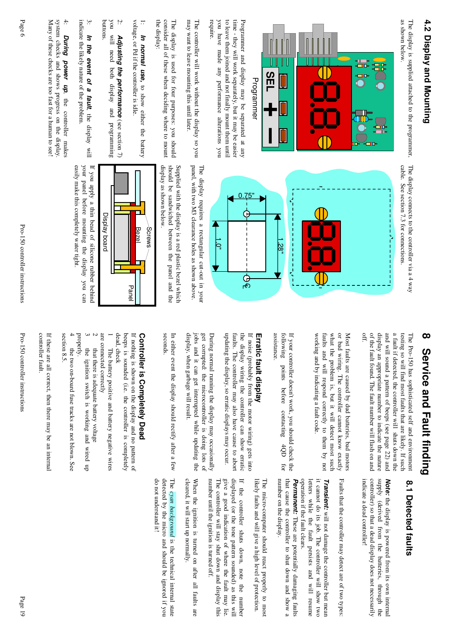# 4.2 Display and Mounting **4.2 Display and Mounting**

as shown below. The display is supplied attached to the programmer, The display connects to the controller via a  $4$  way as shown below. The display is supplied attached to the programmer,



to leave them joined and not finally mount them until time - they will work separately, but it may be easier require. you have made any performance alterations you Programmer and display may be separated at any you have made any performance alterations you to leave them joined and not finally mount them until time - they will work separately, but it may be eas Programmer and display may be separated at any

may want to leave mounting this until later The controller will work without the display so you may want to leave mounting this until later. The controller will work without the display so you

the display: consider all of these when deciding where to mount The display is used for four purposes: you should the display: consider all of these when deciding where to mount The display is used for four purposes: you should

voltage, or Pd if the controller is idle 1: voltage, or Pd if the controller is idle. In normal use, to show either the battery *In normal use,*to show either the battery

buttons. you will need both display and programming 2: you will need both display and programming Adjusting the performance (see section  $7)$ *Adjusting the performance* (see section 7)

3: indicate the likely nature of the problem indicate the likely nature of the problem. In the event of a fault, the display will *In the event of a fault*, the display will

Many of these checks are too fast for a human to see! system checks and shows progress on the display 4: Many of these checks are too fast for a human to se system checks and shows progress on the display. During power up, the controller makes *During power up*, the controller makes

> cable. See section 7.3 for connections. The display connects to the controller via a 4 way



panel, with two M3 clearance holes as shown above. The display requires a rectangular cut-out in your panel, with two M3 clearance holes as shown above. The display requires a rectangular cut-out in your

should be sandwiched between the panel and the Supplied with the display is a red plastic bezel which display as shown below display as shown below. should be sandwiched between the panel and the Supplied with the display is a red plastic bezel wh



your panel before mounting the display you can If you apply a thin bead of silicone rubber behind easily make this completely water tight. easily make this completely water tight. your panel before mounting the display you can If you apply a thin bead of silicone rubber behind

# **8 Service and Fault finding** Service and Fault finding

of the fault found. The fault number will flash on and off. display an appropriate number to indicate the nature and will sound a pattern of beeps (see page 22) and a fault if detected, the controller will shuts down the testing so will find most faults that are likely. If such The Pro-150 has sophisticated self and environment of the fault found. The fault number will flash on and display an appropriate number to indicate the natur and will sound a pattern of beeps (see page 22) and a fault if detected, the controller will shuts down the testing so will find most faults that are likely. I The Pro-150 has sophisticated self and environment

faults and will respond correctly to them by not what the problem is, but it will detect most such or bad wiring. The controller cannot know exactly Most faults are caused by dud batteries, bad motors working and by indicating a fault code working and by indicating a fault code. faults and will respond correctly to them by not what the problem is, but it will detect most such or bad wiring. The controller cannot know exactly Most faults are caused by dud batteries, bad motors

assistance. following points before contacting 4QD If your controller doesn't work, you should check the assistance. following points before contacting 4QD for If your controller doesn't work, you should check t for

## Erratic fault display **Erratic fault display**

updating the display, so erratic displays may occur. faults. The controller may also have cause to abort the display wiring the controller can show erratic If noise (probably from the motor wiring) gets into updating the display, so erratic displays may occur faults. The controller may also have cause to abort the display wiring the controller can show erratic If noise (probably from the motor wiring) gets into

display, when garbage will result. get corrupted: the microcontroller is doing lots of During normal running the display may occasionally jobs and it can get interrupted while updating the jobs and it can get interrupted while updating the display, when garbage will result. get corrupted: the microcontroller is doing lots of During normal running the display may occasionally

In either event the display should rectify after a In either event the display should rectify after a few seconds.

# Controller is Completely Dead **Controller is Completely Dead**

dead, check beeps is sounded (i.e. the controller is completely If nothing is shown on the display and no pattern of dead, check beeps is sounded (i.e. the controller is completely If nothing is shown on the display and no pattern o

are connected correctly are connected correctly The battery positive and battery negative wires The battery positive and battery negative wires

 $\overline{\phantom{0}}$ 

 that there is adequate battery voltage that there is adequate battery voltage

 the ignition switch is working and wired up the ignition switch is working and wired up

ى

 $\sim$ 

properly. the two on-board fuse tracks are not blown. See the two on-board fuse tracks are not blown. See

4section 8.5. section 8.5.

If these are all correct, then there may be an inte If these are all correct, then there may be an internal<br>controller fault. controller fault.

Pro-150 controller instructions Page 19 Pro-150 controller instructions

# 8.1 Detected faults **8.1 Detected faults**

controller) so that a dead display does not necessarily supply (derived from the batteries, through the *Note:* the display is powered from its own internal indicate a dead controller! indicate a dead controller! controller) so that a dead display does not necessa supply (derived from the batteries, through the the display is powered from its own internal

Faults that the controller may detect are of two ty Faults that the controller may detect are of two types:

operation if the fault clears. letters while the fault persists and will resume it cannot do its job. The controller will show two Transient: will not damage the controller but mean operation if the fault clears. letters while the fault persists and will resume it cannot do its job. The controller will show two *Transient:* will not damage the controller but mean

number on the display. that cause the controller to shut down and show a Permanent: These are potentially damaging faults number on the display. that cause the controller to shut down and show a *Permanent:* These are potentially damaging faults

likely faults and will give a high level of protection. likely faults and will give a high level of protect The micro-computer should react properly to most The micro-computer should react properly to most

number until the ignition is turned off. displayed (or the tone pattern sounded) as this will The controller will stay shut down and display this give a good indication of where the fault may lie. If the controller shuts down, note the number number until the ignition is turned off. The controller will stay shut down and display this give a good indication of where the fault may lie. displayed (or the tone pattern sounded) as this wil If the controller shuts down, note the number

When the ignition is turned on after all faults are cleared, it will start up normally. cleared, it will start up normally. When the ignition is turned on after all faults are

The cyan background is the technical internal state do not understand it! do not understand it! detected by the micro and should be ignored if you detected by the micro and should be ignored if you *cyan background* is the technical internal state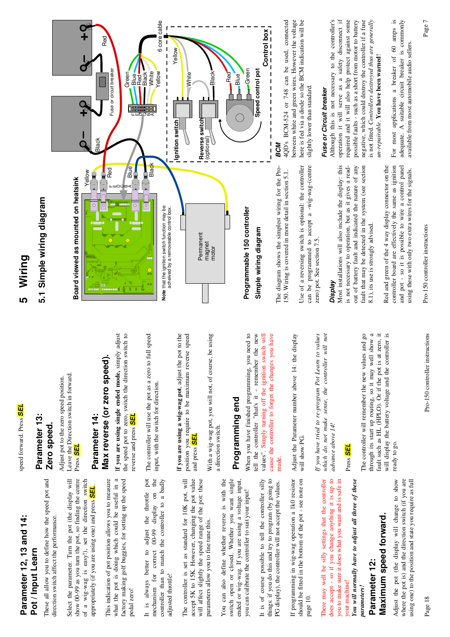### Parameter 12, 13 and 14: **Parameter 12, 13 and 14:** Pot / Input Learn **Pot / Input Learn**

These all allow you to define how the speed pot and These all allow you to define how the speed pot and direction switch affect the performance. direction switch affect the performance.

show 00-99 as you turn the pot, so finding the centre of a wig-wag is easy!), set the direction switch Select the parameter. Turn the pot (the display will Select the parameter. Turn the pot (the display will show 00-99 as you turn the pot, so finding the centre of a wig-wag is easy!), set the direction switch appropriately (if you are using one) and press **SEL**. appropriately (if you are using one) and press *SEL*.

factory making golf buggies, for setting up the speed what the pot is doing which could be useful in a This indication of pot position allows you to measure This indication of pot position allows you to measure what the pot is doing which could be useful in a factory making golf buggies, for setting up the speed pedal zero! adjust the throttle pot<br>00-99 display on the controller than to match the controller to a badly It is always better to adjust the throttle pot mechanism for correct 00-99 display on the controller than to match the controller to a badly It is always better to mechanism for correct adjusted throttle! adjusted throttle!

And contained a section and a section of the potential comparison of the potential the potential of the potential contained the potential of the potential contained the potential contained the potential contained the poten The controller is set as standard for 10K pot, will will affect slightly the speed range of the pot: these The controller is set as standard for 10K pot, will accept 5K to 15K. However, changing the pot value will affect slightly the speed range of the pot: these parameters allow you to fine tune this. parameters allow you to fine tune this.

You can also define whether reverse is with the switch open or closed. Whether you want single ended or wig-wag. If you are using a voltage input, You can also define whether reverse is with the switch open or closed. Whether you want single ended or wig-wag. If you are using a voltage input, you can calibrate the controller to suit your input! you can calibrate the controller to suit your input!

things: if you do this and try to program (by going to It is of course possible to tell the controller silly It is of course possible to tell the controller silly things: if you do this and try to program (by going to PG display), the controller will not accept the values. PG display), the controller will not accept the values. If programming in wig-wag operation a 1k0 resistor should be fitted in the bottom of the pot - see note on If programming in wig-wag operation a 1k0 resistor should be fitted in the bottom of the pot - see note on page 10.

There may well be silly settings that the controller does accept - so if you change anything it is up to you to make sure it does what you want and is safe in There may well be silly settings that the controller does accept - so if you change anything it is up to you to make sure it does what you want and is safe in your machine! your machine!

You will normally have to adjust all three of these *You will normally have to adjust all three of these parameters!*  parameters!

### Maximum speed forward. **Maximum speed forward.** Parameter 12: **Parameter 12:**

Adjust the pot (the display will change to show where the pot is) and the direction switch (if you are Adjust the pot (the display will change to show where the pot is) and the direction switch (if you are using one) to the position and state you require as full using one) to the position and state you require as full

speed forward. Press SEL speed forward. Press *SEL*

### Parameter 13: **Parameter 13:** Zero speed. **Zero speed.**

Leave the Direction switch in forward. Leave the Direction switch in forward. Adjust pot to the zero speed position. Adjust pot to the zero speed position. Press *SEL*

### **Max reverse (or zero speed).** Max reverse (or zero speed) Parameter 14: **Parameter 14:**

the speed pot to zero, switch the direction switch to<br>reverse and press **SEL** If you are using single ended mode, simply adjust I**f you are using single ended mode,** simply adjust the speed pot to zero, switch the direction switch to reverse and press *SEL*

The controller will use the pot as a zero to full speed<br>input, with the switch for direction. The controller will use the pot as a zero to full speed input, with the switch for direction. If you are using a wig-wag pot, adjust the pot to the I**f you are using a wig-wag pot**, adjust the pot to the position you require to be maximum reverse speed position you require to be maximum reverse speed and press *SEL* With a wig-wag pot, you will not, of course, be using With a wig-wag pot, you will not, of course, be using a direction switch. a direction switch.

## Programming end **Programming end**

When you have finished programming, you need to tell the controller "that's it - remember the new values". Simply turning off the ignition switch will cause the controller to forget the changes you have When you have finished programming, you need to tell the controller "that's it - remember the new values". Simply turning off the ignition switch will cause the controller to forget the changes you have made. Adjust the Parameter number above 14: the display Adjust the Parameter number above 14: the display will show PG. will show PG. If you have tried to re-program Pot Learn to values *If you have tried to re-program Pot Learn to values* which do not make sense, the controller will not *which do not make sense, the controller will not* advance above 14! *advance above 14!*

## Press *SEL*

through its start up routing, so it may well show a fault such as HL (HPLO). Or if the pot is at zero, it will display the battery voltage and the controller is The controller will remember the new values and go The controller will remember the new values and go through its start up routing, so it may well show a fault such as HL (HPLO). Or if the pot is at zero, it will display the battery voltage and the controller is ready to go. ready to go.

8.1), its use is strongly advised.

8.1), its use is strongly advised.

Red and green of the 4 way display connector on the controller board are effectively the same as ignition and pot - so it is possible to wire a control panel using these with only two extra wires for the signals.

Red and green of the 4 way display connector on the

controller board are effectively the same as ignition

and pot - so it is possible to wire a control panel

using these with only two extra wires for the signals.

# **5 Wiring**

# 5.1 Simple wiring diagram **5.1 Simple wiring diagram**



between white and green wires. However the voltage<br>here is fed via a diode so the BCM indication will be 4QD's BCM-524 or 748 can be used, connected between white and green wires. However the voltage here is fed via a diode so the BCM indication will be slightly lower than standard. slightly lower than standard.

> Use of a reversing switch is optional: the controller can be programmed to accept a -wig-wag-(centre

Use of a reversing switch is optional: the controller

can be programmed to accept a -wig-wag-(centre

zero) pot. See section 7.5.

zero) pot. See section 7.5.

*Display*<br>Most installations will also include the display: this Most installations will also include the display: this is not necessary to operation, but as it gives a readout of battery fault and indicated the nature of any fault that may be detected in the system (see section

out of battery fault and indicated the nature of any

is not necessary to operation, but as it gives a readfault that may be detected in the system (see section

## Fuse or Circuit breaker *Fuse or Circuit breaker*

Although this is not necessary to the controller's operation it will serve as a safety disconnect if required and it will also help protect against some negative, which could destroy the controller if a fuse possible faults - such as a short from motor to battery is not fitted. Controllers destroyed thus are generally Although this is not necessary to the controller's operation it will serve as a safety disconnect if required and it will also help protect against some possible faults - such as a short from motor to battery negative, which could destroy the controller if a fuse is not fitted. *Controllers destroyed thus are generally* un-repairable. You have been warned! *un-repairable*. **You have been warned**! For most applications a breaker of 60 amps is adequate. A suitable circuit breaker is commonly For most applications a breaker of 60 amps is adequate. A suitable circuit breaker is commonly available from most automobile audio sellers. available from most automobile audio sellers.

Pro-150 controller instructions

Pro-150 controller instructions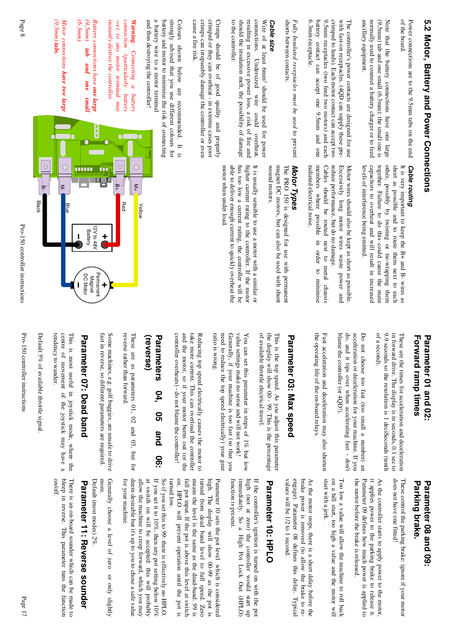of the board Power connections are to the 9.5mm tabs on the end of the board. Power connections are to the 9.5mm tabs on the end

Note that the battery connections have one large ancıllary equipment. normally used to connect a battery charger or to feed  $(9,5 \,\mathrm{mm})$  tab and one small  $(6,3 \,\mathrm{mm})$ ; the small one is ancillary equipment. normally used to connect a battery charger or to fe (9,5mm) tab and one small (6.3mm): the small one is Note that the battery connections have one large

battery contact can accept one 9.5mm and one 9.5mm receptacles (two feed two motors) and each crimped to leads). Each motor contact can accept two with fast-on receptacles. (4QD can supply these pre-6.3mm receptacle. The controller's power contacts are designed for use 6.3mm receptacle. battery contact can accept one 9.5mm and one 9.5mm receptacles (two feed two motors) and each with fast-on receptacles. (4QD can supply these pre- crimped to leads). Each motor contact can accept two The controller's power contacts are designed for us

shorts between contacts. Fully Insulated receptacles must be used to prevent shorts between contacts. *Fully Insulated receptacles must be used* to prevent

### Cable size *Cable size*

should the insulation melt, the possibility of damage connections. Undersized wire could overheat, to the controller. resulting in excessive power loss, a risk of fire and Wire of at least 6mm<sup>2</sup> should be used for power to the controller. should the insulation melt, the possibility of damage resulting in excessive power loss, a risk of fire a connections. Undersized wire could overheat, Wire of at least 6mm should be used for power

crimps can irreparably damage the controller or even crimped or they can overheat - in extreme cases poor cause a fire risk. Crimps should be of good quality and properly cause a fire risk. crimps can irreparably damage the controller or even crimped or they can overheat - in extreme cases poo Crimps should be of good quality and properly

a battery wire to a motor terminal strongly advised that you use different colours for and thus destroying the controller! battery and motor to minimise the risk of connecting Colours shown below are recommended. It and thus destroying the controller! a battery wire to a motor terminal battery and motor to minimise the risk of connectin strongly advised that you use different colours for Colours shown below are recommended. It is  $\overline{\mathbf{s}}$ 

connection (particularly instantly destroy the controller. -ve) to any motor terminal may *instantly destroy the controller. -ve) to any motor terminal may connection (particularly battery* Warning: Connecting a battery *: Connecting a battery* battery

*(6.3mm). (9,5mm) Battery connections have one large Battery connections have*  tab *tab and one small* pun  $ouo$ puus

 $(9,5mn)$  tabs Motor connections have two large *(9,5mm) tabsMotor connections . have two large*

## **Cable routing** *Cable routing*

capacitors to overheat and will result in increased together. Failure to do this could cause the main other, possibly by twisting or tie-wrapping them It is very important to keep the  $B+$  and  $B-$  wires as short as possible and to route them next to each levels of interference being emitted. levels of interference being emitted. capacitors to overheat and will result in increased together. Failure to do this could cause the main other, possibly by twisting or tie-wrapping them short as possible and to route them next to each It is very important to keep the B+ and B- wires as

members where possible in order to minimise Cables should be routed next to metal chassis reduce performance, but do no damage. Motor wires should also be kept as short as possible.<br>Excessively long motor wires waste power and members where possible in order to minimise Cables should be routed next to metal chassis reduce performance, but do no damage. Excessively long motor wires waste power and Motor wires should also be kept as short as possibl

Motor Types *Motor Types*

radiated electrical noise.

radiated electrical noise.

The PRO 150 is designed for use with permanent magnet DC motors, but can also be used with shunt wound motors. wound motors. magnet DC motors, but can also be used with shunt The PRO 150 is designed for use with permanent

has too low a current rating, the controller will be higher current rating to the controller. If the motor It is usually sensible to use a motor with a similar or able to deliver enough current to quickly overheat the motor when under load motor when under load. able to deliver enough current to quickly overheat the has too low a current rating, the controller will be higher current rating to the controller. If the motor It is usually sensible to use a motor with a simila



### Forward ramp times Parameter 01 and 02: **Forward ramp times Parameter 01 and 02:**

of a second). 9.9 seconds so the resolution is 1 deciSeconds (tenth in forward drive. The display is in seconds, 0.1 sec to These are the times for acceleration and deceleration of a second). 9.9 seconds so the resolution is 1 deciSeconds (tenth in forward drive. The display is in seconds, 0.1 sec to These are the times for acceleration and decelerati

blame the controller (or 4QD!). do, and it tips over when accelerating fast - don't acceleration or deceleration for your machine. If you Do not choose too fast (too small a number) an blame the controller (or 4QD!). do, and it tips over when accelerating fast - don't acceleration or deceleration for your machine. If y Do not choose too fast (too small a number) an

the operating life of the on-board relays. Fast acceleration and deceleration may also shorten the operating life of the on-board relays. Fast acceleration and deceleration may also shorten

# Parameter 03: Max speed **Parameter 03: Max speed**

of available throttle electrical travel. the display will show 00 - 99. This is the percentage This is the top speed. As you adjust this parameter of available throttle electrical travel. the display will show 00 - 99. This is the percenta This is the top speed. As you adjust this parameter

ratio is wrong need to reduce the top speed electrically) your gear Generally, if your machine is too fast (so that you value settings make no sense and will not work! You can set this parameter in steps of 1% but low ratio is wrong. need to reduce the top speed electrically) your gea Generally, if your machine is too fast (so that you value settings make no sense and will not work! You can set this parameter in steps of  $1\%$  but low

take more current. This can overload the controller Reducing top speed electrically causes the motor to controller overheats) - do not blame the controller! and the motor, so if your motor burns out (or the controller overheats) - do not blame the controller and the motor, so if your motor burns out (or the take more current. This can overload the controller Reducing top speed electrically causes the motor to

### **(reverse) Parameters Parameters 04, 05 and 06:** 04, 95 and **90**

reverse rather than forward reverse rather than forward. These are as parameters 01, 02 and 03, These are as parameters 01, 02 and 03, but for but for

fast in reverse, so different parameters are required. Some machines, e.g. golf buggies, are unsafe to drive fast in reverse, so different parameters are required. Some machines, e.g. golf buggies, are unsafe to dri

# Parameter 07: Dead band **Parameter 07: Dead band**

centre of movement of the joystick may have a This is most useful in joystick mode, where the tendency to wander. tendency to wander. centre of movement of the joystick may have a This is most useful in joystick mode, where the

Default 5% of available throttle signal Default 5% of available throttle signal.

Pro-150 controller instructions

Pro-150 controller instructions

Pro-150 controller instructions

### Parking brake. Parameter 08 and 09 **Parking brake. Parameter 08 and 09:**

does not have one fitted! These control the parking brake: ignore if your motor does not have one fitted! These control the parking brake: ignore if your mot

Parameter 09 defines how much power is applied to the motor before the brake is released As the controller starts to apply power to the motor, it applies power to the parking brake to release it. the motor before the brake is released. Parameter 09 defines how much power is applied to it applies power to the parking brake to release it. As the controller starts to apply power to the moto

start with a jerk. on a hill start, too high a value and the motor will Too low a value will allow the machine to roll back start with a jerk. on a hill start, too high a value and the motor wil Too low a value will allow the machine to roll back

engage). Parameter 08 defines this delay. Typical As the motor stops, there is a short delay before the values will be 1/2 to 1 second. brake power is removed (to allow the brake to revalues will be 1/2 to 1 second. engage). Parameter 08 defines this delay. Typical brake power is removed (to allow the brake to re-As the motor stops, there is a short delay before t

# Parameter 10: HPLO **Parameter 10: HPLO**

high (not at zero) the controller would tunction is present. If the controller's ignition is turned on with the pot function is present. immediately. So a High Pot Lock Out (HPLO) immediately. So a High Pot Lock Out (HPLO) high (not at zero) the controller would start up If the controller's ignition is turned on with the dn uns

on, HPLO will prevent operation until the pot is turned from dead band level to full speed. Zero full pot input. If the pot is above this level at switch means the level is the same as the dead-band. 99 is turned low. high. The display will show 00-99 as the pot is Parameter 10 sets the pot level which is considered turned low. on, HPLO will prevent operation until the pot is full pot input. If the pot is above this level at s means the level is the same as the dead-band. 99 is turned from dead band level to full speed. Zero high. The display will show 00-99 as the pot is Parameter 10 sets the pot level which is considere

deem desirable but it's up to you to chose a safe value So if you set this to 99: there is effectively no HPLO. at switch on will be accepted: this will probably If you set it to  $10\%$ , then any pot setting below  $10\%$ for your machine. allow the machine to creep forward, which you may for your machine.deem desirable but it's up to you to chose a safe v allow the machine to creep forward, which you may at switch on will be accepted: this will probably If you set it to  $10\%$ , then any pot setting below 10 So if you set this to 99: there is effectively no H

more. Generally choose a level of zero or only slightly Generally choose a level of zero or only slightly

Default (most modes) 2% Default (most modes) 2%.

# Parameter 11: Reverse sounder **Parameter 11: Reverse sounder**

bleep in reverse. This parameter tuns the function There is an on-board sounder which can be made to bleep in reverse. This parameter tuns the function There is an on-board sounder which can be made to

on/off.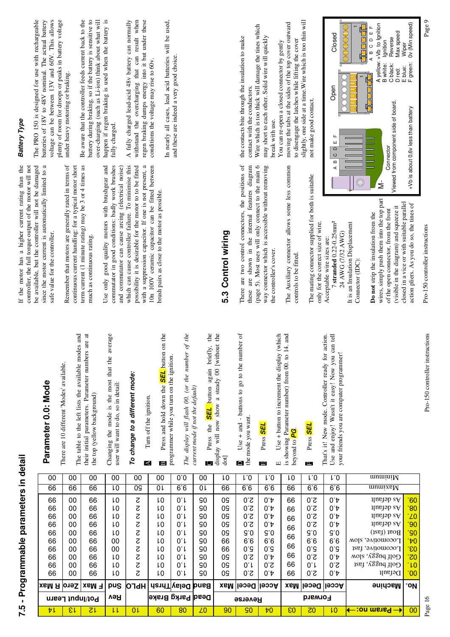Page 16<br>Page 16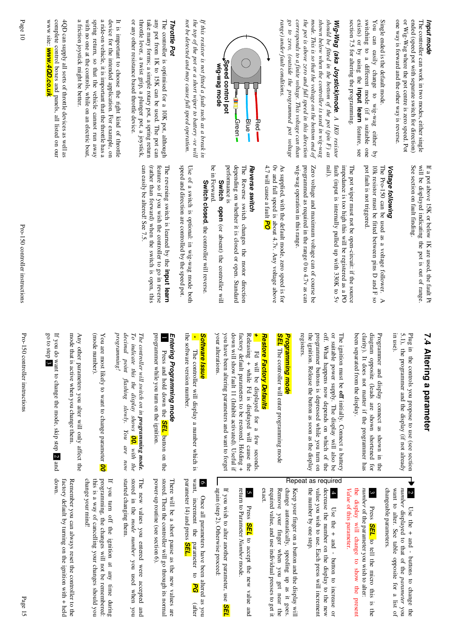| complete control boxes and panels, all listed on our<br>4QD can supply all sorts of throttle devices as well as<br>www site: <b>www.4QD.co.uk</b> | a friction joystick might be better.<br>spring return, so that the vehicle cannot run away<br>a ride-on vehicle, it is important that the throttle has a<br>device for the intended application. For example, on<br>with no one at the controls, while on an electric boat.<br>It is important to choose the right kind of throttle | throttle lever, a twist grip, a plunger pot, a joystick,<br>take many forms; a simple rotary pot, a spring return<br>any pot from 1K to 15K can be used. The pot can<br>The controller is optimised for a 10K pot, although<br>or any other resistance based throttle device<br><b>Throttle Pot</b> | not be detected and may cause full speed operation.<br>the top of the pot or a short wiper to battery -ve will<br>If this resistor is not fitted a fault such as a break in | Speed control pot<br>wig-wag mode<br>₿<br>Green-<br>Blue'<br>Red.                                                                                                                                                                                                         | range) under fault conditions.                                                                                                             | shown below when the controller is used in wig-wag<br>mode. This is so that the voltage on the bottom end of<br>$90\ to$<br>corresponds to a finite voltage. This voltage can than<br>the pot is above zero and full speed in this direction<br>zero, (outside the programmed pot voltage | should be fitted in the bottom of the pot (pin F) as<br>section 7.5 for altering the programming.<br>Wig-Wag (aka Joystick)mode. A IKO resistor                                  | exists) or by using the input learn feature, see<br>switching to a different mode (if a suitable one<br>Single ended is the default mode.<br>$_{\rm ion}$<br>can easily<br>change<br>to wig-wag either<br>$\overline{a}$ | one way is forward and the other way is reverse.<br>or Wig-Wag where the pot centre is zero speed. Pot<br>ended (speed pot with separate switch for direction)<br>The controller can work in two modes, either single<br>Input mode |
|---------------------------------------------------------------------------------------------------------------------------------------------------|-------------------------------------------------------------------------------------------------------------------------------------------------------------------------------------------------------------------------------------------------------------------------------------------------------------------------------------|-----------------------------------------------------------------------------------------------------------------------------------------------------------------------------------------------------------------------------------------------------------------------------------------------------|-----------------------------------------------------------------------------------------------------------------------------------------------------------------------------|---------------------------------------------------------------------------------------------------------------------------------------------------------------------------------------------------------------------------------------------------------------------------|--------------------------------------------------------------------------------------------------------------------------------------------|-------------------------------------------------------------------------------------------------------------------------------------------------------------------------------------------------------------------------------------------------------------------------------------------|----------------------------------------------------------------------------------------------------------------------------------------------------------------------------------|--------------------------------------------------------------------------------------------------------------------------------------------------------------------------------------------------------------------------|-------------------------------------------------------------------------------------------------------------------------------------------------------------------------------------------------------------------------------------|
|                                                                                                                                                   |                                                                                                                                                                                                                                                                                                                                     | can easily be altered! See 7.5.<br>(rather than forward) when the switch is open, this<br>feature so if you wish the controller to go in reverse<br>The reversing switch is learned by the input learn                                                                                              | speed and direction are controlled by the speed pot.<br>Use of a switch is optional: in wig-wag mode both                                                                   | performance is<br>depending on whether it is closed or open. Standard<br>be in Forward.<br>The Reverse switch changes the motor direction<br>Reverse switch<br><b>Switch</b><br>Switch closed, the controller will reverse<br><b>open</b> (or absent) the controller will | 4.7 will cause a fault $PQ$<br>Ov and full speed is about 4.7v. Any voltage above<br>As supplied, with the default mode, zero speed is for | programmed as required in the range 0 to 4.7v as can<br>wig-wag operation in this range.<br>Zero voltage and maximum voltage can of course be                                                                                                                                             | fault (input is internally pulled up with 330K to 5v<br>rail).<br>impedance is too high this will be registered as a PO<br>The pot wiper must not be open-circuit: if the source | pot fault is not triggered.<br>The Pro-150 can be used as a voltage follower.<br>10k resistor must be fitted between pins D and F<br>Voltage following<br>$\mathbf{S}^{\bullet}$<br>$\triangleright$                     | If a pot above 15K or below 1K are used, the fault Pt<br>See section on fault finding.<br>will be displayed indicating the pot is out of range-                                                                                     |

# 7.4 Altering a parameter **7.4 Altering a parameter**

5.1), the programmer and the display (if not already in use). Plug in the controls you propose to use (see section 5.1), the programmer and the display (if not already Plug in the controls you propose to use (see section

Programmer and display connect as shown in the diagram opposite (leads are shown shortened for clarity). It does not matter if the programmer has hen semerated from the discula been separated from the display. been separated from the display. clarity). It does not matter if the programmer has diagram opposite (leads are shown shortened for Programmer and display connect as shown in the

programmer buttons is depressed while you turn on off. What happens now depends on which of the or suitable power supply. The display will also be registers. The ignition must be off initially. Connect a battery the ignition. Release the button as soon as the display the ignition. Release the button as soon as the dis programmer buttons is depressed while you turn on off. What happens now depends on which of the or suitable power supply. The display will also be The ignition must be initially. Connect a battery Repeat as required

## Programming mode *Programming mode*

**SEL** The controller will enter programming mode The controller will enter programming mode

## *Restore Factory Defaults* Restore Factory Defaults

exact.

your alterations. you have been altering parameters and want to forget down will show fault 11 (Inhibit activated). Useful if **+** Fd will be displayed for a few seconds.<br>Releasing + while Fd is displayed will cause the factory default parameters to be restored. Holding + your alterations. you have been altering parameters and want to forget down will show fault 11 (Inhibit activated). Useful if factory default parameters to be restored. Holding Releasing + while Fd is displayed will cause the Fd will be displayed for a few seconds.

### **Software Issue** *Software Issue*

the software version number the software version number.  *-*  The controller will display a number which is The controller will display a number which is

# Entering Programming mode *Entering Programming mode*

programmer while you turn on the ignition. programmer while you turn on the ignition. Press and hold down the **SEL** button on the Press and hold down the button on the

programming! decimal point flashing slowly. *programming! To indicate this the display shows 00.* with the The controller will switch on in **programming mode**. *decimal point flashing slowly. You are now To indicate this the display shows The controller will switch on in programming mode.* You are now *with the*

(mode number) (mode number). You are most likely to want to change parameter **00** You are most likely to want to change parameter

mode that is active when you change them. Any other parameters you alter will only affect the mode that is active when you change them. Any other parameters you alter will only affect the

If you do want to change the mode, skip step If you do want to change the mode, skip step  $2$  and

down.

Dise the  $+$  and  $-$  buttoms to change the changeable parameters want to alter. See table opposite for a list of changeable parameters. want to alter. See table opposite for a list of *number*  2 Use the + and - buttons to change the displayed to that of the *parameter* you

Press *SEL* to tell the micro this is the *number* of the parameter you wish to alter: of the parameter you wish to alter:

*Value* of this parameter the display will change to show the present the display will change to show the present of this parameter.

the number by one step. value you wish to use. Each press will increment the number by one step. value you wish to use. Each press will increment decrease the number on the display to the new decrease the number on the display to the new 4 Use the + and - button to increase or Use the + and - button to increase or

change automatically, speeding up as it goes. required value, and use individual presses to get it Remove your finger when you get near the Keep your finger on a button and the display will required value, and use individual presses to get i Remove your finger when you get near the change automatically, speeding up as it goes. Keep your finger on a button and the display will

 5 Press *SEL* to accept the new value and return to Parameter *Number* return to Parameter Number mode

again (step 2). Otherwise proceed: If you wish to alter another parameter, use **SEI** again (step 2). Otherwise proceed: If you wish to alter another parameter, use

want, increment the parameter to  $PG$ <br>parameter  $14$ ) and press **SEL.**  $\circ$  6 Once all parameters have been altered as you parameter 14) and press want, increment the parameter to Once all parameters have been altered as you PG (after (after

stored. Then the controller will go through its normal power-up routine (see section 6). There will be a short pause as the new values are power-up routine (see section 6). stored. Then the controller will go through its nor There will be a short pause as the new values are

started changing them. stored in the mode number you used when you The new values you entered were accepted and started changing them. stored in the The new values you entered were accepted and *mode number* you used when you

programming, the changes will not be remembered: change your mind! If you turn off the ignition at any time during this is a way of cancelling your changes should you change your mind! this is a way of cancelling your changes should you programming, the changes will not be remembered: If you turn off the ignition at any time during

factory default by turning on the ignition with + held factory default by turning on the ignition with + h Remember you can always reset the controller to the Remember you can always reset the controller to the

go to step 3 go to step 3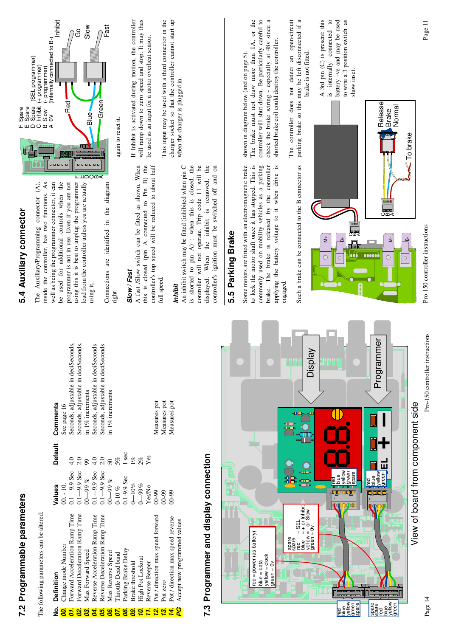|                | 7.2 Programmable parameters                                                                                                                                                                     |                             |                |                                     | 5.4 Auxiliary connector                                                                                  | Spare<br>Spare<br>⊥ய∆                                                                                 |
|----------------|-------------------------------------------------------------------------------------------------------------------------------------------------------------------------------------------------|-----------------------------|----------------|-------------------------------------|----------------------------------------------------------------------------------------------------------|-------------------------------------------------------------------------------------------------------|
|                |                                                                                                                                                                                                 |                             |                |                                     | The Auxiliary/Programming connector (A),                                                                 | (SEL programmer)<br>Spare<br>Inhibit                                                                  |
|                | The following parameters can be altered:                                                                                                                                                        |                             |                |                                     | inside the controller, has two functions. As                                                             | (+ programmer)<br>Slow<br>$O \nightharpoonup \triangleleft$                                           |
| ġ              | Definition                                                                                                                                                                                      | Values                      | <b>Default</b> | Comments                            | 00000<br>well as being the programmer connector, it can                                                  | (- programmen)<br>(Internally connected to B-)<br>(Inhibit)<br>$\gtrsim$                              |
| 8.             | Change mode Number                                                                                                                                                                              | $00 - 10$                   |                | See page 16                         | be used for additional controls when the                                                                 |                                                                                                       |
| ŌΤ.            | Forward Acceleration Ramp Time                                                                                                                                                                  | $-9.9$ Sec<br>$\frac{1}{3}$ | 4.0            | Seconds, adjustable in deciSeconds, | programmer is not in use. Even if you are not                                                            | .<br>Red                                                                                              |
| 8              | Forward Deceleration Ramp Time                                                                                                                                                                  | $0.1 - 9.9$ Sec             | 2.0            | Seconds, adjustable in deciSeconds, | using this it is best to unplug the programmer                                                           | යි                                                                                                    |
| $\bf{a}$       | Max Forward Speed                                                                                                                                                                               | $-99%$                      | 99             | in 1% increments                    | <br>lead from the controller unless you are actually                                                     | Slow<br>Blue.                                                                                         |
| डं             | Reverse Acceleration Ramp Time                                                                                                                                                                  | $0.1 - 9.9$ Sec             | 4.0            | Seconds, adjustable in deciSeconds  | <b>ILIHOOM&lt;</b><br>using it.                                                                          |                                                                                                       |
| 8              | Reverse Deceleration Ramp Time                                                                                                                                                                  | $0.1 - 9.9$ Sec             | 2.0            | Seconds, adjustable in deciSeconds  |                                                                                                          | <b>Green</b>                                                                                          |
| 8              | Max Reverse Speed                                                                                                                                                                               | $-999\%$                    | $50\,$         | in 1% increments                    | Connections are identified in the diagram                                                                | Fast                                                                                                  |
| δ.             | <b>Throttle Dead band</b>                                                                                                                                                                       | 0-10 %                      | 5%             |                                     | right.                                                                                                   | again to reset it.                                                                                    |
| $\bf{g}$       | Parking Brake Delay                                                                                                                                                                             | $0.1 - 9.9$ Sec             | 1 sec          |                                     |                                                                                                          |                                                                                                       |
| $\overline{8}$ | Brake threshold                                                                                                                                                                                 | $0 - 10\%$                  | 1%             |                                     | Slow / Fast                                                                                              | If Inhibit is activated during motion, the controller                                                 |
| P.             | <b>High Pot Lockout</b>                                                                                                                                                                         | $0 - 99\%$                  | 2%             |                                     | A fast /Slow switch can be fitted as shown. When                                                         | will ramp down to zero speed and stop. It may thus                                                    |
| Ħ.             | Reverse Beeper                                                                                                                                                                                  | Yes/No                      | Yes            |                                     | this is closed (pin A connected to Pin B) the                                                            | be used as an input for a motor overheat sensor.                                                      |
| 2.             | Pot / direction max speed forward                                                                                                                                                               | $00 - 99$                   |                | Measures pot                        | controller's top speed will be reduced to about half                                                     |                                                                                                       |
| 2              | Pot zero                                                                                                                                                                                        | $00 - 99$                   |                | Measures pot                        | full speed.                                                                                              | This input may be used with a third connector in the                                                  |
| 74.            | Pot / direction max speed reverse                                                                                                                                                               | $00 - 99$                   |                | Measures pot                        |                                                                                                          | charger socket so that the controller cannot start up                                                 |
| ဥ              | Accept new programmed values                                                                                                                                                                    |                             |                |                                     | Inhibit                                                                                                  | when the charger is plugged in.                                                                       |
|                |                                                                                                                                                                                                 |                             |                |                                     | is shorted to pin A) : when this is closed, the<br>An inhibit switch may be fitted (inhibited when pin C |                                                                                                       |
|                | 7.3 Programmer and display connection                                                                                                                                                           |                             |                |                                     | controller will not operate. Trip code 11 will be<br>the<br>When the inhibit is removed,<br>displayed.   |                                                                                                       |
|                |                                                                                                                                                                                                 |                             |                |                                     | controller's ignition must be switched off and on                                                        |                                                                                                       |
|                |                                                                                                                                                                                                 |                             |                |                                     | Parking Brake<br>5.5<br>5.1                                                                              |                                                                                                       |
|                |                                                                                                                                                                                                 |                             |                |                                     |                                                                                                          |                                                                                                       |
|                |                                                                                                                                                                                                 |                             |                |                                     | Some motors are fitted with an electromagnetic brake                                                     | shown in diagram below (and on page 5).                                                               |
|                | $red = power (as battery)$<br>$blue = data$                                                                                                                                                     |                             |                |                                     | to lock the motor shaft once it has stopped. This is<br>commonly used on mobility vehicles as a parking  | controller will shut down. Be particularly careful to<br>The brake must not draw more than 1A, or the |
|                | yellow = clock                                                                                                                                                                                  |                             |                |                                     | brake. The brake is released by the controller                                                           | check the brake wiring - especially at 48v since a                                                    |
|                | $green = 0v$                                                                                                                                                                                    |                             |                |                                     | applying the battery voltage to it when drive is                                                         | shorted brake coil could destroy the controller.                                                      |
|                |                                                                                                                                                                                                 |                             |                |                                     | engaged.                                                                                                 |                                                                                                       |
|                | spare<br>spare<br>red                                                                                                                                                                           | 噩                           |                |                                     |                                                                                                          | The controller does not detect an open-circuit                                                        |
|                |                                                                                                                                                                                                 | 需                           |                |                                     | Such a brake can be connected to the B connector as                                                      | parking brake so this may be left disconnected if a                                                   |
|                | $\begin{array}{ll}\n\text{F\'ed}^{\cdot\cdot}&= \text{SEL} \\ \text{blue} &= + \text{ or } \text{Inhibit} \\ \text{yellow} &= - \text{ or } \text{slow} \\ \text{green} &= 0 \lor\n\end{array}$ | œ                           |                | VeldsiC                             |                                                                                                          | brake is not fitted.                                                                                  |
|                |                                                                                                                                                                                                 |                             |                |                                     |                                                                                                          | A 3rd pin (C) is present: this                                                                        |
|                |                                                                                                                                                                                                 |                             |                |                                     | $\stackrel{+}{\geq}$<br>O                                                                                | is internally connected to                                                                            |
| <b>Pa</b>      |                                                                                                                                                                                                 | ang<br>Papi<br>₩            |                |                                     | $\circ$                                                                                                  | battery -ve and may be used                                                                           |
| yellow<br>blue |                                                                                                                                                                                                 | vellow                      |                |                                     |                                                                                                          | to wire a 3 position switch as                                                                        |
| green<br>spare |                                                                                                                                                                                                 |                             |                |                                     | $\bullet\bullet\bullet$<br>█████████<br><del></del><br>omk<br>000                                        | show inset.                                                                                           |
|                |                                                                                                                                                                                                 |                             |                |                                     | Ģ                                                                                                        |                                                                                                       |

> Pro-150 controller instructions Pro-150 controller instructions

 $\Rightarrow$ 

 $\circ$ 

(BBB)<br>CΩ<

Release Brake Normal

B-

 $\boxed{\circ}$ 

 $\leq$  To brake

Pro-150 controller instructions Page 14 Pro-150 controller instructions View of board from component side View of board from component side

Programmer

Programmer

**SEL**

red blue yellow green<br>G

I

ι.

5050505

**+**

**–**

spare e<br>Ba<br>Se blue yellow green

IП

 $\Box$